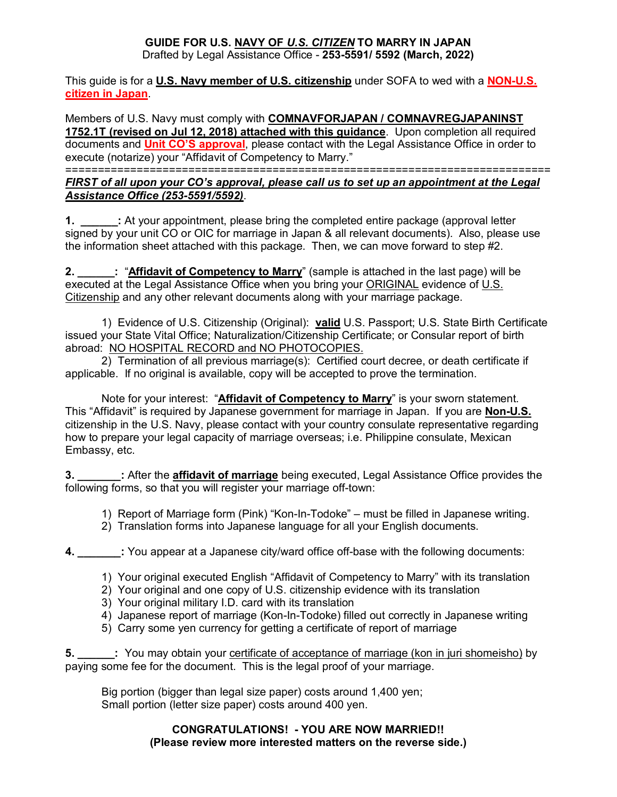# **GUIDE FOR U.S. NAVY OF** *U.S. CITIZEN* **TO MARRY IN JAPAN**

Drafted by Legal Assistance Office - **253-5591/ 5592 (March, 2022)**

### This guide is for a **U.S. Navy member of U.S. citizenship** under SOFA to wed with a **NON-U.S. citizen in Japan**.

Members of U.S. Navy must comply with **COMNAVFORJAPAN / COMNAVREGJAPANINST 1752.1T (revised on Jul 12, 2018) attached with this guidance**. Upon completion all required documents and **Unit CO'S approval**, please contact with the Legal Assistance Office in order to execute (notarize) your "Affidavit of Competency to Marry."

===========================================================================

### *FIRST of all upon your CO's approval, please call us to set up an appointment at the Legal Assistance Office (253-5591/5592)*.

**1. \_\_\_\_\_\_:** At your appointment, please bring the completed entire package (approval letter signed by your unit CO or OIC for marriage in Japan & all relevant documents). Also, please use the information sheet attached with this package. Then, we can move forward to step #2.

**2. \_\_\_\_\_\_:** "**Affidavit of Competency to Marry**" (sample is attached in the last page) will be executed at the Legal Assistance Office when you bring your ORIGINAL evidence of U.S. Citizenship and any other relevant documents along with your marriage package.

1) Evidence of U.S. Citizenship (Original): **valid** U.S. Passport; U.S. State Birth Certificate issued your State Vital Office; Naturalization/Citizenship Certificate; or Consular report of birth abroad: NO HOSPITAL RECORD and NO PHOTOCOPIES.

2) Termination of all previous marriage(s): Certified court decree, or death certificate if applicable. If no original is available, copy will be accepted to prove the termination.

Note for your interest: "**Affidavit of Competency to Marry**" is your sworn statement. This "Affidavit" is required by Japanese government for marriage in Japan. If you are **Non-U.S.** citizenship in the U.S. Navy, please contact with your country consulate representative regarding how to prepare your legal capacity of marriage overseas; i.e. Philippine consulate, Mexican Embassy, etc.

**3. \_\_\_\_\_\_\_:** After the **affidavit of marriage** being executed, Legal Assistance Office provides the following forms, so that you will register your marriage off-town:

- 1) Report of Marriage form (Pink) "Kon-In-Todoke" must be filled in Japanese writing.
- 2) Translation forms into Japanese language for all your English documents.

**4. \_\_\_\_\_\_\_:** You appear at a Japanese city/ward office off-base with the following documents:

- 1) Your original executed English "Affidavit of Competency to Marry" with its translation
- 2) Your original and one copy of U.S. citizenship evidence with its translation
- 3) Your original military I.D. card with its translation
- 4) Japanese report of marriage (Kon-In-Todoke) filled out correctly in Japanese writing
- 5) Carry some yen currency for getting a certificate of report of marriage

**5. \_\_\_\_\_\_:** You may obtain your certificate of acceptance of marriage (kon in juri shomeisho) by paying some fee for the document. This is the legal proof of your marriage.

Big portion (bigger than legal size paper) costs around 1,400 yen; Small portion (letter size paper) costs around 400 yen.

## **CONGRATULATIONS! - YOU ARE NOW MARRIED!! (Please review more interested matters on the reverse side.)**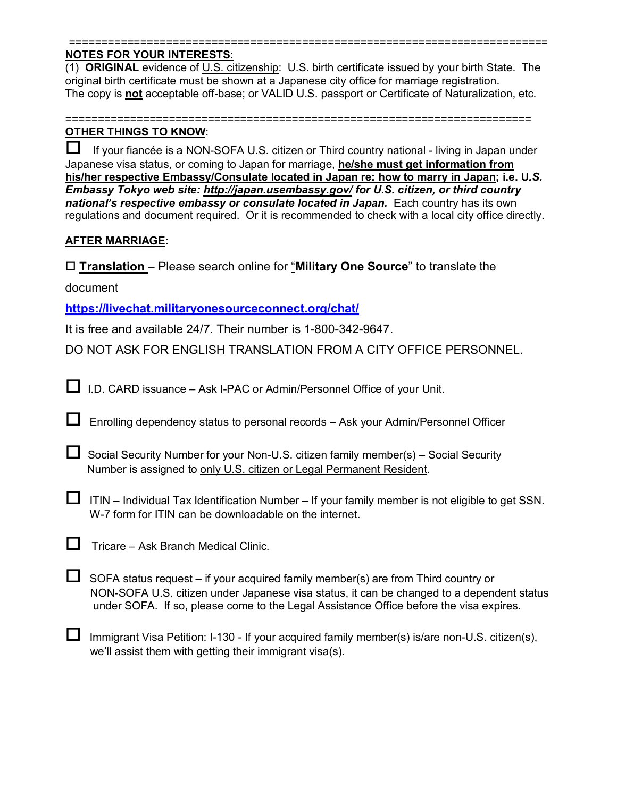#### ========================================================================== **NOTES FOR YOUR INTERESTS**:

(1) **ORIGINAL** evidence of U.S. citizenship: U.S. birth certificate issued by your birth State. The original birth certificate must be shown at a Japanese city office for marriage registration. The copy is **not** acceptable off-base; or VALID U.S. passport or Certificate of Naturalization, etc.

========================================================================

## **OTHER THINGS TO KNOW**:

 $\Box$  If your fiancée is a NON-SOFA U.S. citizen or Third country national - living in Japan under Japanese visa status, or coming to Japan for marriage, **he/she must get information from his/her respective Embassy/Consulate located in Japan re: how to marry in Japan; i.e. U***.S. Embassy Tokyo web site:<http://japan.usembassy.gov/> for U.S. citizen, or third country*  national's respective embassy or consulate located in Japan. Each country has its own regulations and document required. Or it is recommended to check with a local city office directly.

## **AFTER MARRIAGE:**

**Translation** – Please search online for "**Military One Source**" to translate the

document

**<https://livechat.militaryonesourceconnect.org/chat/>**

It is free and available 24/7. Their number is 1-800-342-9647.

DO NOT ASK FOR ENGLISH TRANSLATION FROM A CITY OFFICE PERSONNEL.

I.D. CARD issuance – Ask I-PAC or Admin/Personnel Office of your Unit.

 $\Box$  Enrolling dependency status to personal records  $-$  Ask your Admin/Personnel Officer

| $\Box$ Social Security Number for your Non-U.S. citizen family member(s) – Social Security |
|--------------------------------------------------------------------------------------------|
| Number is assigned to only U.S. citizen or Legal Permanent Resident.                       |

 $\Box$  ITIN – Individual Tax Identification Number – If your family member is not eligible to get SSN. W-7 form for ITIN can be downloadable on the internet.

| $\Box$ Tricare – Ask Branch Medical Clinic. |  |
|---------------------------------------------|--|
|---------------------------------------------|--|

 $\Box$  SOFA status request – if your acquired family member(s) are from Third country or NON-SOFA U.S. citizen under Japanese visa status, it can be changed to a dependent status under SOFA. If so, please come to the Legal Assistance Office before the visa expires.

Immigrant Visa Petition: I-130 - If your acquired family member(s) is/are non-U.S. citizen(s), we'll assist them with getting their immigrant visa(s).